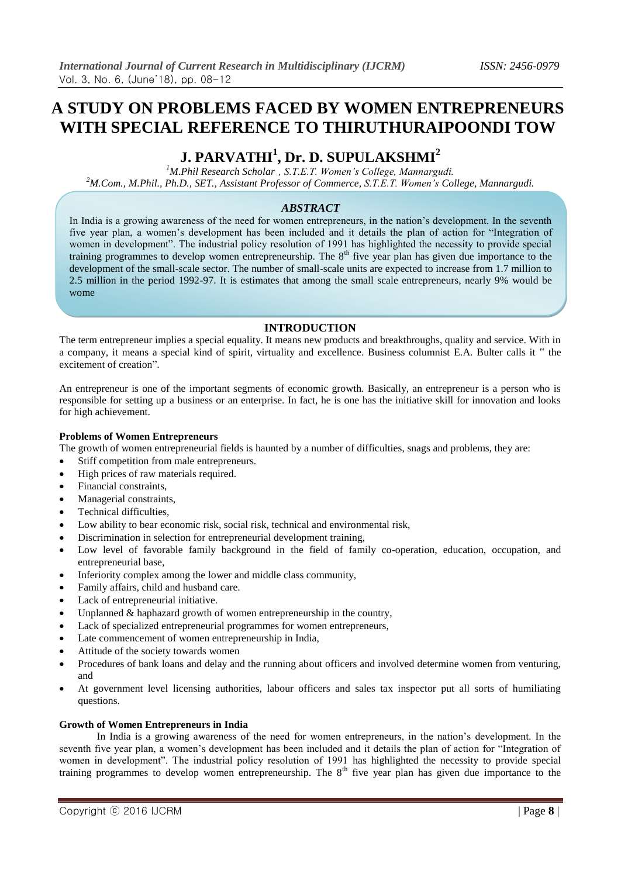# **A STUDY ON PROBLEMS FACED BY WOMEN ENTREPRENEURS WITH SPECIAL REFERENCE TO THIRUTHURAIPOONDI TOW**

# **J. PARVATHI<sup>1</sup> , Dr. D. SUPULAKSHMI<sup>2</sup>**

*<sup>1</sup>M.Phil Research Scholar , S.T.E.T. Women's College, Mannargudi. <sup>2</sup>M.Com., M.Phil., Ph.D., SET., Assistant Professor of Commerce, S.T.E.T. Women's College, Mannargudi.*

# *ABSTRACT*

In India is a growing awareness of the need for women entrepreneurs, in the nation's development. In the seventh five year plan, a women's development has been included and it details the plan of action for "Integration of women in development". The industrial policy resolution of 1991 has highlighted the necessity to provide special training programmes to develop women entrepreneurship. The 8<sup>th</sup> five year plan has given due importance to the development of the small-scale sector. The number of small-scale units are expected to increase from 1.7 million to 2.5 million in the period 1992-97. It is estimates that among the small scale entrepreneurs, nearly 9% would be wome

# **INTRODUCTION**

The term entrepreneur implies a special equality. It means new products and breakthroughs, quality and service. With in a company, it means a special kind of spirit, virtuality and excellence. Business columnist E.A. Bulter calls it " the excitement of creation".

An entrepreneur is one of the important segments of economic growth. Basically, an entrepreneur is a person who is responsible for setting up a business or an enterprise. In fact, he is one has the initiative skill for innovation and looks for high achievement.

# **Problems of Women Entrepreneurs**

The growth of women entrepreneurial fields is haunted by a number of difficulties, snags and problems, they are:

- Stiff competition from male entrepreneurs.
- High prices of raw materials required.
- Financial constraints,
- Managerial constraints,
- Technical difficulties,
- Low ability to bear economic risk, social risk, technical and environmental risk,
- Discrimination in selection for entrepreneurial development training,
- Low level of favorable family background in the field of family co-operation, education, occupation, and entrepreneurial base,
- Inferiority complex among the lower and middle class community,
- Family affairs, child and husband care.
- Lack of entrepreneurial initiative.
- Unplanned & haphazard growth of women entrepreneurship in the country,
- Lack of specialized entrepreneurial programmes for women entrepreneurs,
- Late commencement of women entrepreneurship in India,
- Attitude of the society towards women
- Procedures of bank loans and delay and the running about officers and involved determine women from venturing, and
- At government level licensing authorities, labour officers and sales tax inspector put all sorts of humiliating questions.

### **Growth of Women Entrepreneurs in India**

In India is a growing awareness of the need for women entrepreneurs, in the nation's development. In the seventh five year plan, a women's development has been included and it details the plan of action for "Integration of women in development". The industrial policy resolution of 1991 has highlighted the necessity to provide special training programmes to develop women entrepreneurship. The 8<sup>th</sup> five year plan has given due importance to the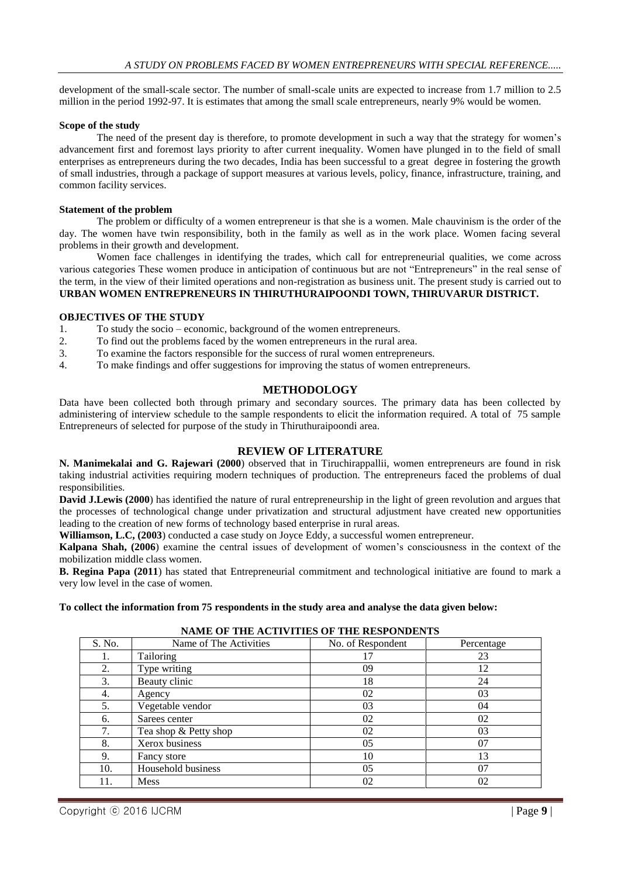development of the small-scale sector. The number of small-scale units are expected to increase from 1.7 million to 2.5 million in the period 1992-97. It is estimates that among the small scale entrepreneurs, nearly 9% would be women.

#### **Scope of the study**

The need of the present day is therefore, to promote development in such a way that the strategy for women's advancement first and foremost lays priority to after current inequality. Women have plunged in to the field of small enterprises as entrepreneurs during the two decades, India has been successful to a great degree in fostering the growth of small industries, through a package of support measures at various levels, policy, finance, infrastructure, training, and common facility services.

#### **Statement of the problem**

The problem or difficulty of a women entrepreneur is that she is a women. Male chauvinism is the order of the day. The women have twin responsibility, both in the family as well as in the work place. Women facing several problems in their growth and development.

Women face challenges in identifying the trades, which call for entrepreneurial qualities, we come across various categories These women produce in anticipation of continuous but are not "Entrepreneurs" in the real sense of the term, in the view of their limited operations and non-registration as business unit. The present study is carried out to **URBAN WOMEN ENTREPRENEURS IN THIRUTHURAIPOONDI TOWN, THIRUVARUR DISTRICT.**

#### **OBJECTIVES OF THE STUDY**

- 1. To study the socio economic, background of the women entrepreneurs.
- 2. To find out the problems faced by the women entrepreneurs in the rural area.
- 3. To examine the factors responsible for the success of rural women entrepreneurs.
- 4. To make findings and offer suggestions for improving the status of women entrepreneurs.

## **METHODOLOGY**

Data have been collected both through primary and secondary sources. The primary data has been collected by administering of interview schedule to the sample respondents to elicit the information required. A total of 75 sample Entrepreneurs of selected for purpose of the study in Thiruthuraipoondi area.

# **REVIEW OF LITERATURE**

**N. Manimekalai and G. Rajewari (2000**) observed that in Tiruchirappallii, women entrepreneurs are found in risk taking industrial activities requiring modern techniques of production. The entrepreneurs faced the problems of dual responsibilities.

**David J.Lewis (2000**) has identified the nature of rural entrepreneurship in the light of green revolution and argues that the processes of technological change under privatization and structural adjustment have created new opportunities leading to the creation of new forms of technology based enterprise in rural areas.

**Williamson, L.C, (2003**) conducted a case study on Joyce Eddy, a successful women entrepreneur.

**Kalpana Shah, (2006**) examine the central issues of development of women's consciousness in the context of the mobilization middle class women.

**B. Regina Papa (2011**) has stated that Entrepreneurial commitment and technological initiative are found to mark a very low level in the case of women.

#### **To collect the information from 75 respondents in the study area and analyse the data given below:**

| S. No. | Name of The Activities | No. of Respondent | Percentage |
|--------|------------------------|-------------------|------------|
| ī.     | <b>Tailoring</b>       | 17                | 23         |
| 2.     | Type writing           | 09                | 12         |
| 3.     | Beauty clinic          | 18                | 24         |
| 4.     | Agency                 | 02                | 03         |
| 5.     | Vegetable vendor       | 03                | 04         |
| 6.     | Sarees center          | 02                | 02         |
| 7.     | Tea shop & Petty shop  | 02                | 03         |
| 8.     | Xerox business         | 05                | 07         |
| 9.     | Fancy store            | 10                | 13         |
| 10.    | Household business     | 05                | 07         |
| 11.    | <b>Mess</b>            | 02                | 02         |

#### **NAME OF THE ACTIVITIES OF THE RESPONDENTS**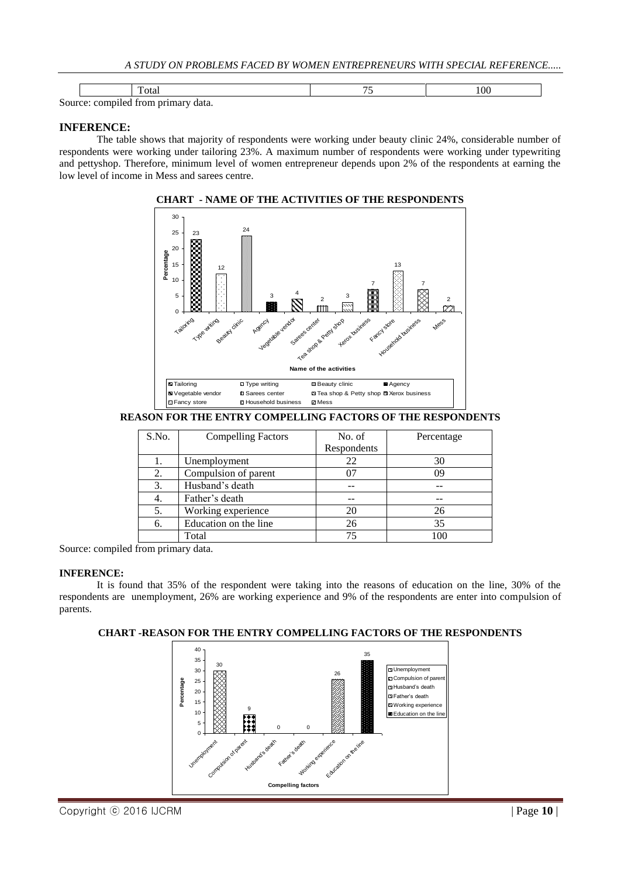|                               |  | ota. | 00 |
|-------------------------------|--|------|----|
| $\sim$<br>data.<br>$\sim$ 443 |  |      |    |

# **INFERENCE:**

The table shows that majority of respondents were working under beauty clinic 24%, considerable number of respondents were working under tailoring 23%. A maximum number of respondents were working under typewriting and pettyshop. Therefore, minimum level of women entrepreneur depends upon 2% of the respondents at earning the low level of income in Mess and sarees centre.



**CHART - NAME OF THE ACTIVITIES OF THE RESPONDENTS**

# **REASON FOR THE ENTRY COMPELLING FACTORS OF THE RESPONDENTS**

| S.No. | <b>Compelling Factors</b> | No. of      | Percentage |
|-------|---------------------------|-------------|------------|
|       |                           | Respondents |            |
| ī.    | Unemployment              | 22          | 30         |
| 2.    | Compulsion of parent      | 07          |            |
| 3.    | Husband's death           |             |            |
| 4.    | Father's death            |             |            |
| 5.    | Working experience        | 20          | 26         |
| 6.    | Education on the line     | 26          | 35         |
|       | Total                     |             | 100        |

Source: compiled from primary data.

### **INFERENCE:**

It is found that 35% of the respondent were taking into the reasons of education on the line, 30% of the respondents are unemployment, 26% are working experience and 9% of the respondents are enter into compulsion of parents.



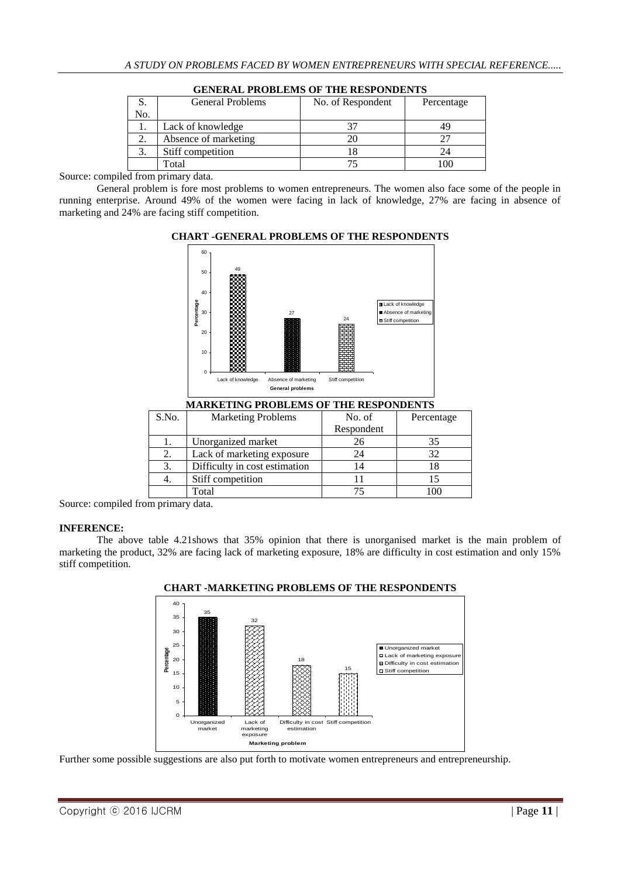|     | <b>General Problems</b> | No. of Respondent | Percentage |
|-----|-------------------------|-------------------|------------|
| No. |                         |                   |            |
|     | Lack of knowledge       |                   |            |
|     | Absence of marketing    |                   |            |
|     | Stiff competition       |                   |            |
|     | Total                   |                   | ഥറ         |

#### **GENERAL PROBLEMS OF THE RESPONDENTS**

Source: compiled from primary data.

General problem is fore most problems to women entrepreneurs. The women also face some of the people in running enterprise. Around 49% of the women were facing in lack of knowledge, 27% are facing in absence of marketing and 24% are facing stiff competition.

# **CHART -GENERAL PROBLEMS OF THE RESPONDENTS**  $60$



| S.No. | <b>Marketing Problems</b>     | No. of     | Percentage |
|-------|-------------------------------|------------|------------|
|       |                               | Respondent |            |
| ı.    | Unorganized market            | 26         | 35         |
| 2.    | Lack of marketing exposure    | 24         | 32         |
| 3.    | Difficulty in cost estimation | 14         | 18         |
| 4.    | Stiff competition             |            |            |
|       | Total                         |            |            |

Source: compiled from primary data.

# **INFERENCE:**

The above table 4.21shows that 35% opinion that there is unorganised market is the main problem of marketing the product, 32% are facing lack of marketing exposure, 18% are difficulty in cost estimation and only 15% stiff competition.



**CHART -MARKETING PROBLEMS OF THE RESPONDENTS**

Further some possible suggestions are also put forth to motivate women entrepreneurs and entrepreneurship.